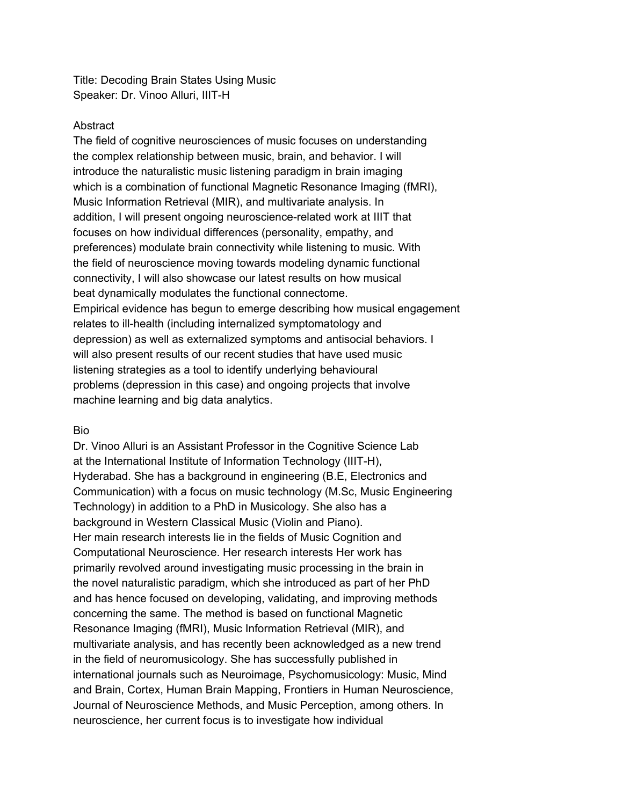Title: Decoding Brain States Using Music Speaker: Dr. Vinoo Alluri, IIIT-H

## Abstract

The field of cognitive neurosciences of music focuses on understanding the complex relationship between music, brain, and behavior. I will introduce the naturalistic music listening paradigm in brain imaging which is a combination of functional Magnetic Resonance Imaging (fMRI), Music Information Retrieval (MIR), and multivariate analysis. In addition, I will present ongoing neuroscience-related work at IIIT that focuses on how individual differences (personality, empathy, and preferences) modulate brain connectivity while listening to music. With the field of neuroscience moving towards modeling dynamic functional connectivity, I will also showcase our latest results on how musical beat dynamically modulates the functional connectome. Empirical evidence has begun to emerge describing how musical engagement relates to ill-health (including internalized symptomatology and depression) as well as externalized symptoms and antisocial behaviors. I will also present results of our recent studies that have used music listening strategies as a tool to identify underlying behavioural problems (depression in this case) and ongoing projects that involve machine learning and big data analytics.

## Bio

Dr. Vinoo Alluri is an Assistant Professor in the Cognitive Science Lab at the International Institute of Information Technology (IIIT-H), Hyderabad. She has a background in engineering (B.E, Electronics and Communication) with a focus on music technology (M.Sc, Music Engineering Technology) in addition to a PhD in Musicology. She also has a background in Western Classical Music (Violin and Piano). Her main research interests lie in the fields of Music Cognition and Computational Neuroscience. Her research interests Her work has primarily revolved around investigating music processing in the brain in the novel naturalistic paradigm, which she introduced as part of her PhD and has hence focused on developing, validating, and improving methods concerning the same. The method is based on functional Magnetic Resonance Imaging (fMRI), Music Information Retrieval (MIR), and multivariate analysis, and has recently been acknowledged as a new trend in the field of neuromusicology. She has successfully published in international journals such as Neuroimage, Psychomusicology: Music, Mind and Brain, Cortex, Human Brain Mapping, Frontiers in Human Neuroscience, Journal of Neuroscience Methods, and Music Perception, among others. In neuroscience, her current focus is to investigate how individual